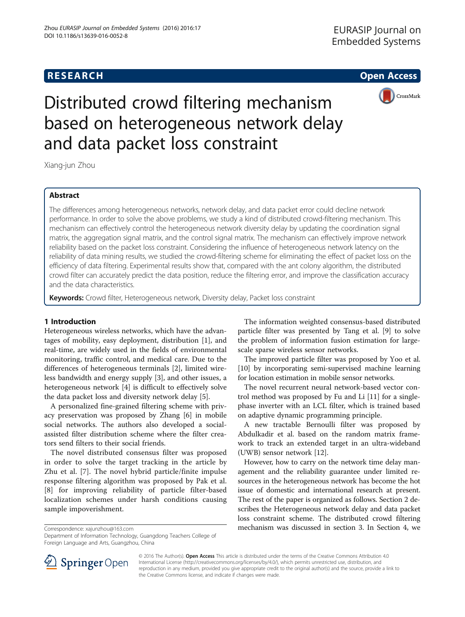## **RESEARCH CHE Open Access**



# Distributed crowd filtering mechanism based on heterogeneous network delay and data packet loss constraint

Xiang-jun Zhou

## Abstract

The differences among heterogeneous networks, network delay, and data packet error could decline network performance. In order to solve the above problems, we study a kind of distributed crowd-filtering mechanism. This mechanism can effectively control the heterogeneous network diversity delay by updating the coordination signal matrix, the aggregation signal matrix, and the control signal matrix. The mechanism can effectively improve network reliability based on the packet loss constraint. Considering the influence of heterogeneous network latency on the reliability of data mining results, we studied the crowd-filtering scheme for eliminating the effect of packet loss on the efficiency of data filtering. Experimental results show that, compared with the ant colony algorithm, the distributed crowd filter can accurately predict the data position, reduce the filtering error, and improve the classification accuracy and the data characteristics.

Keywords: Crowd filter, Heterogeneous network, Diversity delay, Packet loss constraint

### 1 Introduction

Heterogeneous wireless networks, which have the advantages of mobility, easy deployment, distribution [[1](#page-6-0)], and real-time, are widely used in the fields of environmental monitoring, traffic control, and medical care. Due to the differences of heterogeneous terminals [[2](#page-6-0)], limited wireless bandwidth and energy supply [\[3](#page-6-0)], and other issues, a heterogeneous network [\[4](#page-6-0)] is difficult to effectively solve the data packet loss and diversity network delay [[5\]](#page-6-0).

A personalized fine-grained filtering scheme with privacy preservation was proposed by Zhang [[6\]](#page-6-0) in mobile social networks. The authors also developed a socialassisted filter distribution scheme where the filter creators send filters to their social friends.

The novel distributed consensus filter was proposed in order to solve the target tracking in the article by Zhu et al. [[7\]](#page-6-0). The novel hybrid particle/finite impulse response filtering algorithm was proposed by Pak et al. [[8\]](#page-6-0) for improving reliability of particle filter-based localization schemes under harsh conditions causing sample impoverishment.

Department of Information Technology, Guangdong Teachers College of Foreign Language and Arts, Guangzhou, China

The information weighted consensus-based distributed particle filter was presented by Tang et al. [\[9](#page-6-0)] to solve the problem of information fusion estimation for largescale sparse wireless sensor networks.

The improved particle filter was proposed by Yoo et al. [[10](#page-6-0)] by incorporating semi-supervised machine learning for location estimation in mobile sensor networks.

The novel recurrent neural network-based vector control method was proposed by Fu and Li [\[11](#page-6-0)] for a singlephase inverter with an LCL filter, which is trained based on adaptive dynamic programming principle.

A new tractable Bernoulli filter was proposed by Abdulkadir et al. based on the random matrix framework to track an extended target in an ultra-wideband (UWB) sensor network [[12\]](#page-6-0).

However, how to carry on the network time delay management and the reliability guarantee under limited resources in the heterogeneous network has become the hot issue of domestic and international research at present. The rest of the paper is organized as follows. Section [2](#page-1-0) describes the Heterogeneous network delay and data packet loss constraint scheme. The distributed crowd filtering Correspondence: [xajunzhou@163.com](mailto:xajunzhou@163.com) mechanism was discussed in section [3](#page-2-0). In Section [4](#page-4-0), we



© 2016 The Author(s). Open Access This article is distributed under the terms of the Creative Commons Attribution 4.0 International License ([http://creativecommons.org/licenses/by/4.0/\)](http://creativecommons.org/licenses/by/4.0/), which permits unrestricted use, distribution, and reproduction in any medium, provided you give appropriate credit to the original author(s) and the source, provide a link to the Creative Commons license, and indicate if changes were made.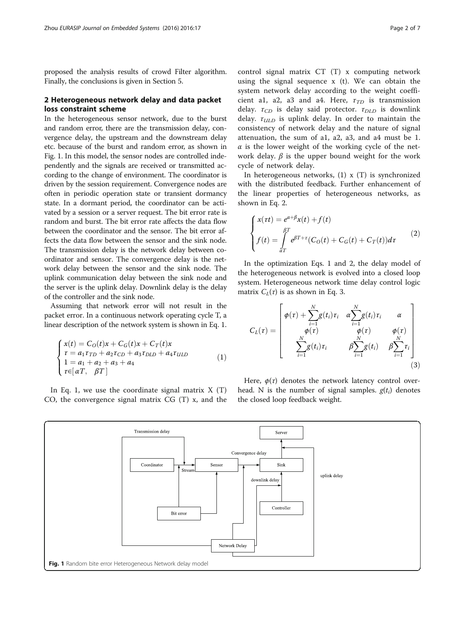<span id="page-1-0"></span>proposed the analysis results of crowd Filter algorithm. Finally, the conclusions is given in Section [5.](#page-5-0)

#### 2 Heterogeneous network delay and data packet loss constraint scheme

In the heterogeneous sensor network, due to the burst and random error, there are the transmission delay, convergence delay, the upstream and the downstream delay etc. because of the burst and random error, as shown in Fig. 1. In this model, the sensor nodes are controlled independently and the signals are received or transmitted according to the change of environment. The coordinator is driven by the session requirement. Convergence nodes are often in periodic operation state or transient dormancy state. In a dormant period, the coordinator can be activated by a session or a server request. The bit error rate is random and burst. The bit error rate affects the data flow between the coordinator and the sensor. The bit error affects the data flow between the sensor and the sink node. The transmission delay is the network delay between coordinator and sensor. The convergence delay is the network delay between the sensor and the sink node. The uplink communication delay between the sink node and the server is the uplink delay. Downlink delay is the delay of the controller and the sink node.

Assuming that network error will not result in the packet error. In a continuous network operating cycle T, a linear description of the network system is shown in Eq. 1.

$$
\begin{cases}\n x(t) = C_0(t)x + C_G(t)x + C_T(t)x \\
 r = a_1 r_{TD} + a_2 r_{CD} + a_3 r_{DLD} + a_4 r_{ULD} \\
 1 = a_1 + a_2 + a_3 + a_4 \\
 r \in [\alpha T, \beta T]\n\end{cases} (1)
$$

In Eq. 1, we use the coordinate signal matrix  $X(T)$ CO, the convergence signal matrix CG (T) x, and the

control signal matrix CT (T) x computing network using the signal sequence x (t). We can obtain the system network delay according to the weight coefficient a1, a2, a3 and a4. Here,  $\tau_{TD}$  is transmission delay.  $\tau_{CD}$  is delay said protector.  $\tau_{DLD}$  is downlink delay.  $\tau_{\text{ULD}}$  is uplink delay. In order to maintain the consistency of network delay and the nature of signal attenuation, the sum of a1, a2, a3, and a4 must be 1.  $\alpha$  is the lower weight of the working cycle of the network delay.  $\beta$  is the upper bound weight for the work cycle of network delay.

In heterogeneous networks,  $(1)$  x  $(T)$  is synchronized with the distributed feedback. Further enhancement of the linear properties of heterogeneous networks, as shown in Eq. 2.

$$
\begin{cases}\n x(\tau t) = e^{\alpha+\beta}x(t) + f(t) \\
 f(t) = \int_{aT}^{\beta T} e^{\beta T + \tau} (C_0(t) + C_G(t) + C_T(t))d\tau\n\end{cases}
$$
\n(2)

In the optimization Eqs. 1 and 2, the delay model of the heterogeneous network is evolved into a closed loop system. Heterogeneous network time delay control logic matrix  $C_l(\tau)$  is as shown in Eq. 3.

$$
C_L(\tau) = \begin{bmatrix} \phi(\tau) + \sum_{i=1}^N g(t_i)\tau_i & \alpha \sum_{i=1}^N g(t_i)\tau_i & \alpha \\ \phi(\tau) & \phi(\tau) & \phi(\tau) \\ \sum_{i=1}^N g(t_i)\tau_i & \beta \sum_{i=1}^N g(t_i) & \beta \sum_{i=1}^N \tau_i \end{bmatrix}
$$
(3)

Here,  $\phi(\tau)$  denotes the network latency control overhead. N is the number of signal samples.  $g(t_i)$  denotes the closed loop feedback weight.

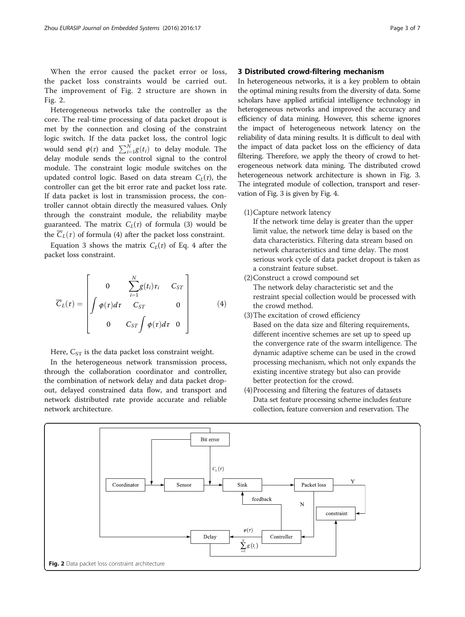<span id="page-2-0"></span>When the error caused the packet error or loss, the packet loss constraints would be carried out. The improvement of Fig. [2](#page-1-0) structure are shown in Fig. 2.

Heterogeneous networks take the controller as the core. The real-time processing of data packet dropout is met by the connection and closing of the constraint logic switch. If the data packet loss, the control logic would send  $\varphi(\tau)$  and  $\sum_{i=1}^{N} g(t_i)$  to delay module. The delay module sends the control signal to the control module. The constraint logic module switches on the updated control logic. Based on data stream  $C<sub>L</sub>(\tau)$ , the controller can get the bit error rate and packet loss rate. If data packet is lost in transmission process, the controller cannot obtain directly the measured values. Only through the constraint module, the reliability maybe guaranteed. The matrix  $C_L(\tau)$  of formula (3) would be the  $\overline{C}_L(\tau)$  of formula (4) after the packet loss constraint.

Equation [3](#page-1-0) shows the matrix  $C_L(\tau)$  of Eq. 4 after the packet loss constraint.

$$
\overline{C}_L(\tau) = \begin{bmatrix} 0 & \sum_{i=1}^N g(t_i) \tau_i & C_{ST} \\ \int \phi(\tau) d\tau & C_{ST} & 0 \\ 0 & C_{ST} \int \phi(\tau) d\tau & 0 \end{bmatrix}
$$
(4)

Here,  $C_{ST}$  is the data packet loss constraint weight.

In the heterogeneous network transmission process, through the collaboration coordinator and controller, the combination of network delay and data packet dropout, delayed constrained data flow, and transport and network distributed rate provide accurate and reliable network architecture.

#### 3 Distributed crowd-filtering mechanism

In heterogeneous networks, it is a key problem to obtain the optimal mining results from the diversity of data. Some scholars have applied artificial intelligence technology in heterogeneous networks and improved the accuracy and efficiency of data mining. However, this scheme ignores the impact of heterogeneous network latency on the reliability of data mining results. It is difficult to deal with the impact of data packet loss on the efficiency of data filtering. Therefore, we apply the theory of crowd to heterogeneous network data mining. The distributed crowd heterogeneous network architecture is shown in Fig. [3](#page-3-0). The integrated module of collection, transport and reservation of Fig. [3](#page-3-0) is given by Fig. [4](#page-3-0).

(1)Capture network latency

If the network time delay is greater than the upper limit value, the network time delay is based on the data characteristics. Filtering data stream based on network characteristics and time delay. The most serious work cycle of data packet dropout is taken as a constraint feature subset.

- (2)Construct a crowd compound set The network delay characteristic set and the restraint special collection would be processed with the crowd method.
- (3)The excitation of crowd efficiency Based on the data size and filtering requirements, different incentive schemes are set up to speed up the convergence rate of the swarm intelligence. The dynamic adaptive scheme can be used in the crowd processing mechanism, which not only expands the existing incentive strategy but also can provide better protection for the crowd.
- (4)Processing and filtering the features of datasets Data set feature processing scheme includes feature collection, feature conversion and reservation. The

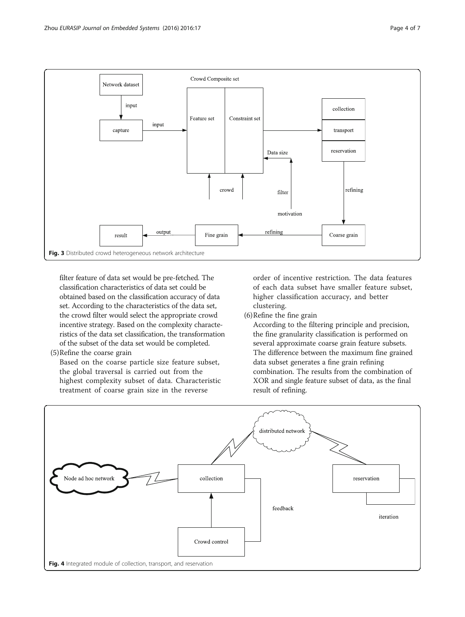<span id="page-3-0"></span>

filter feature of data set would be pre-fetched. The classification characteristics of data set could be obtained based on the classification accuracy of data set. According to the characteristics of the data set, the crowd filter would select the appropriate crowd incentive strategy. Based on the complexity characteristics of the data set classification, the transformation of the subset of the data set would be completed.

(5)Refine the coarse grain

Based on the coarse particle size feature subset, the global traversal is carried out from the highest complexity subset of data. Characteristic treatment of coarse grain size in the reverse

order of incentive restriction. The data features of each data subset have smaller feature subset, higher classification accuracy, and better clustering.

(6)Refine the fine grain

According to the filtering principle and precision, the fine granularity classification is performed on several approximate coarse grain feature subsets. The difference between the maximum fine grained data subset generates a fine grain refining combination. The results from the combination of XOR and single feature subset of data, as the final result of refining.

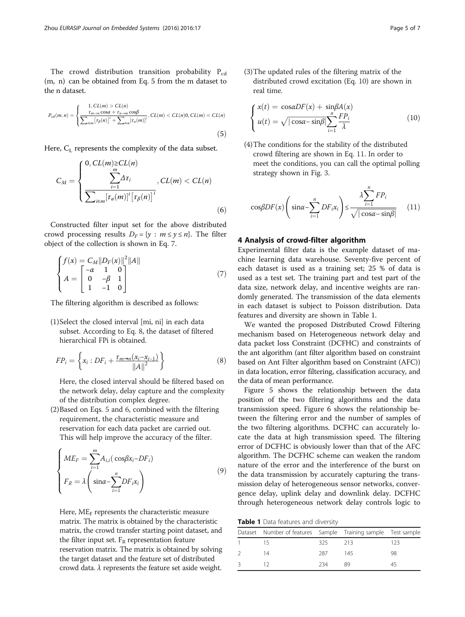<span id="page-4-0"></span>The crowd distribution transition probability  $P_{cd}$ (m, n) can be obtained from Eq. 5 from the m dataset to the n dataset.

$$
P_{cd}(m,n) = \begin{cases} 1, CL(m) > CL(n) \\ \frac{\tau_{m\to n} \cos\alpha + \tau_{n\to m} \cos\beta}{\sum_{i \in m} [\tau_{\beta}(n)]^i + \sum_{i \in n} [\tau_a(m)]^i}, CL(m) < CL(n) \\ 0, CL(m) = CL(n) \end{cases} \tag{5}
$$

Here, C<sub>L</sub> represents the complexity of the data subset.

$$
C_M = \begin{cases} 0, CL(m) \ge CL(n) \\ \sum_{i=1}^{m} \Delta \tau_i \\ \sum_{i \in m} [\tau_\alpha(m)]^i [\tau_\beta(n)]^i \end{cases}, CL(m) < CL(n) \tag{6}
$$

Constructed filter input set for the above distributed crowd processing results  $D_F = \{y : m \le y \le n\}$ . The filter object of the collection is shown in Eq. 7.

$$
\begin{cases}\nf(x) = C_M ||D_F(x)||^2 ||A|| \\
A = \begin{bmatrix} -\alpha & 1 & 0 \\
0 & -\beta & 1 \\
1 & -1 & 0 \end{bmatrix}\n\end{cases}
$$
\n(7)

The filtering algorithm is described as follows:

(1)Select the closed interval [mi, ni] in each data subset. According to Eq. 8, the dataset of filtered hierarchical FPi is obtained.

$$
FP_i = \left\{ x_i : DF_i + \frac{\tau_{m \to n}(x_i - x_{i-1})}{\|A\|^2} \right\}
$$
 (8)

Here, the closed interval should be filtered based on the network delay, delay capture and the complexity of the distribution complex degree.

(2)Based on Eqs. 5 and 6, combined with the filtering requirement, the characteristic measure and reservation for each data packet are carried out. This will help improve the accuracy of the filter.

$$
\begin{cases}\nME_F = \sum_{i=1}^m A_{i,i} (\cos \beta x_i - DF_i) \\
F_R = \lambda \left( \sin \alpha - \sum_{i=1}^n DF_i x_i \right)\n\end{cases} \tag{9}
$$

Here,  $ME_F$  represents the characteristic measure matrix. The matrix is obtained by the characteristic matrix, the crowd transfer starting point dataset, and the filter input set.  $F_R$  representation feature reservation matrix. The matrix is obtained by solving the target dataset and the feature set of distributed crowd data.  $\lambda$  represents the feature set aside weight.

(3)The updated rules of the filtering matrix of the distributed crowd excitation (Eq. 10) are shown in real time.

$$
\begin{cases}\n x(t) = \cos\alpha DF(x) + \sin\beta A(x) \\
 u(t) = \sqrt{|\cos\alpha - \sin\beta|} \sum_{i=1}^{n} \frac{FP_i}{\lambda}\n\end{cases}
$$
\n(10)

(4)The conditions for the stability of the distributed crowd filtering are shown in Eq. 11. In order to meet the conditions, you can call the optimal polling strategy shown in Fig. [3](#page-3-0).

$$
\cos\beta DF(x) \left( \sin\alpha - \sum_{i=1}^{n} DF_i x_i \right) \le \frac{\lambda \sum_{i=1}^{n} FP_i}{\sqrt{|\cos\alpha - \sin\beta|}} \quad (11)
$$

#### 4 Analysis of crowd-filter algorithm

Experimental filter data is the example dataset of machine learning data warehouse. Seventy-five percent of each dataset is used as a training set; 25 % of data is used as a test set. The training part and test part of the data size, network delay, and incentive weights are randomly generated. The transmission of the data elements in each dataset is subject to Poisson distribution. Data features and diversity are shown in Table 1.

We wanted the proposed Distributed Crowd Filtering mechanism based on Heterogeneous network delay and data packet loss Constraint (DCFHC) and constraints of the ant algorithm (ant filter algorithm based on constraint based on Ant Filter algorithm based on Constraint (AFC)) in data location, error filtering, classification accuracy, and the data of mean performance.

Figure [5](#page-5-0) shows the relationship between the data position of the two filtering algorithms and the data transmission speed. Figure [6](#page-5-0) shows the relationship between the filtering error and the number of samples of the two filtering algorithms. DCFHC can accurately locate the data at high transmission speed. The filtering error of DCFHC is obviously lower than that of the AFC algorithm. The DCFHC scheme can weaken the random nature of the error and the interference of the burst on the data transmission by accurately capturing the transmission delay of heterogeneous sensor networks, convergence delay, uplink delay and downlink delay. DCFHC through heterogeneous network delay controls logic to

Table 1 Data features and diversity

| Dataset Number of features Sample Training sample Test sample |         |     |     |
|---------------------------------------------------------------|---------|-----|-----|
|                                                               | 325 213 |     | 123 |
| 14                                                            | 287     | 145 | 98  |
|                                                               | 234     | 89  | 45  |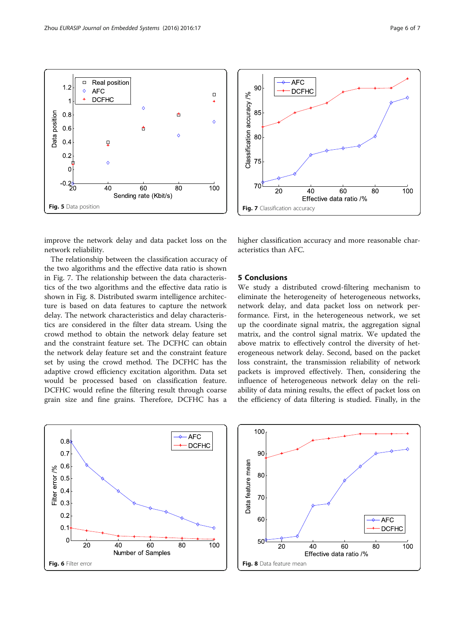

<span id="page-5-0"></span>



improve the network delay and data packet loss on the network reliability.

The relationship between the classification accuracy of the two algorithms and the effective data ratio is shown in Fig. 7. The relationship between the data characteristics of the two algorithms and the effective data ratio is shown in Fig. 8. Distributed swarm intelligence architecture is based on data features to capture the network delay. The network characteristics and delay characteristics are considered in the filter data stream. Using the crowd method to obtain the network delay feature set and the constraint feature set. The DCFHC can obtain the network delay feature set and the constraint feature set by using the crowd method. The DCFHC has the adaptive crowd efficiency excitation algorithm. Data set would be processed based on classification feature. DCFHC would refine the filtering result through coarse grain size and fine grains. Therefore, DCFHC has a



higher classification accuracy and more reasonable characteristics than AFC.

#### 5 Conclusions

We study a distributed crowd-filtering mechanism to eliminate the heterogeneity of heterogeneous networks, network delay, and data packet loss on network performance. First, in the heterogeneous network, we set up the coordinate signal matrix, the aggregation signal matrix, and the control signal matrix. We updated the above matrix to effectively control the diversity of heterogeneous network delay. Second, based on the packet loss constraint, the transmission reliability of network packets is improved effectively. Then, considering the influence of heterogeneous network delay on the reliability of data mining results, the effect of packet loss on the efficiency of data filtering is studied. Finally, in the